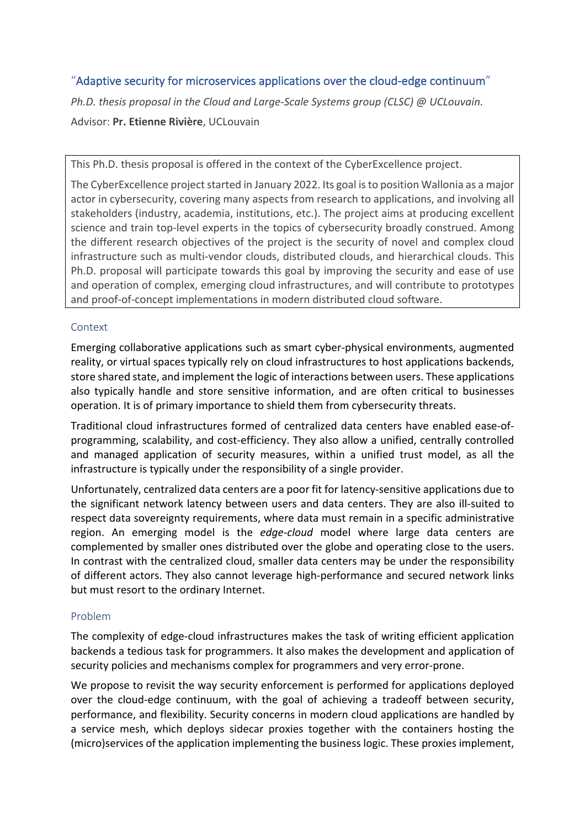# "Adaptive security for microservices applications over the cloud-edge continuum"

*Ph.D. thesis proposal in the Cloud and Large-Scale Systems group (CLSC) @ UCLouvain.* Advisor: **Pr. Etienne Rivière**, UCLouvain

This Ph.D. thesis proposal is offered in the context of the CyberExcellence project.

The CyberExcellence project started in January 2022. Its goal is to position Wallonia as a major actor in cybersecurity, covering many aspects from research to applications, and involving all stakeholders (industry, academia, institutions, etc.). The project aims at producing excellent science and train top-level experts in the topics of cybersecurity broadly construed. Among the different research objectives of the project is the security of novel and complex cloud infrastructure such as multi-vendor clouds, distributed clouds, and hierarchical clouds. This Ph.D. proposal will participate towards this goal by improving the security and ease of use and operation of complex, emerging cloud infrastructures, and will contribute to prototypes and proof-of-concept implementations in modern distributed cloud software.

## Context

Emerging collaborative applications such as smart cyber-physical environments, augmented reality, or virtual spaces typically rely on cloud infrastructures to host applications backends, store shared state, and implement the logic of interactions between users. These applications also typically handle and store sensitive information, and are often critical to businesses operation. It is of primary importance to shield them from cybersecurity threats.

Traditional cloud infrastructures formed of centralized data centers have enabled ease-ofprogramming, scalability, and cost-efficiency. They also allow a unified, centrally controlled and managed application of security measures, within a unified trust model, as all the infrastructure is typically under the responsibility of a single provider.

Unfortunately, centralized data centers are a poor fit for latency-sensitive applications due to the significant network latency between users and data centers. They are also ill-suited to respect data sovereignty requirements, where data must remain in a specific administrative region. An emerging model is the *edge-cloud* model where large data centers are complemented by smaller ones distributed over the globe and operating close to the users. In contrast with the centralized cloud, smaller data centers may be under the responsibility of different actors. They also cannot leverage high-performance and secured network links but must resort to the ordinary Internet.

## Problem

The complexity of edge-cloud infrastructures makes the task of writing efficient application backends a tedious task for programmers. It also makes the development and application of security policies and mechanisms complex for programmers and very error-prone.

We propose to revisit the way security enforcement is performed for applications deployed over the cloud-edge continuum, with the goal of achieving a tradeoff between security, performance, and flexibility. Security concerns in modern cloud applications are handled by a service mesh, which deploys sidecar proxies together with the containers hosting the (micro)services of the application implementing the business logic. These proxies implement,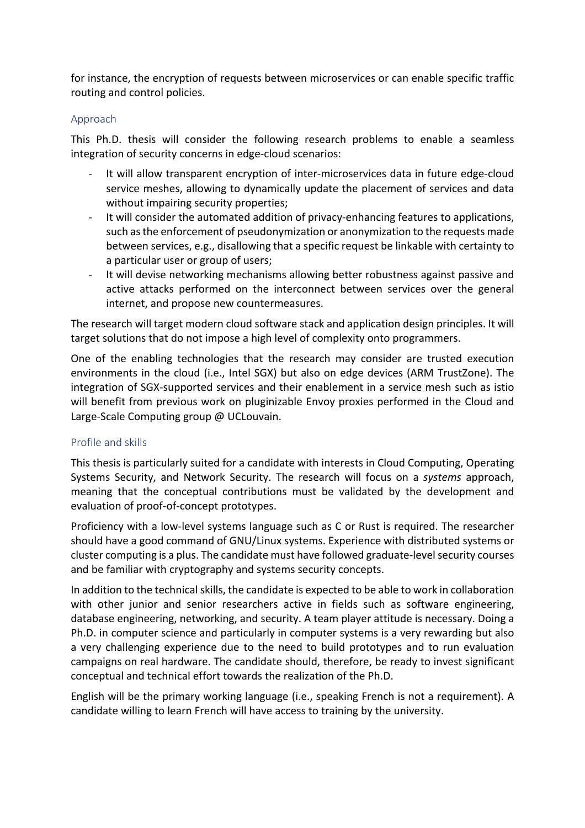for instance, the encryption of requests between microservices or can enable specific traffic routing and control policies.

### Approach

This Ph.D. thesis will consider the following research problems to enable a seamless integration of security concerns in edge-cloud scenarios:

- It will allow transparent encryption of inter-microservices data in future edge-cloud service meshes, allowing to dynamically update the placement of services and data without impairing security properties;
- It will consider the automated addition of privacy-enhancing features to applications, such as the enforcement of pseudonymization or anonymization to the requests made between services, e.g., disallowing that a specific request be linkable with certainty to a particular user or group of users;
- It will devise networking mechanisms allowing better robustness against passive and active attacks performed on the interconnect between services over the general internet, and propose new countermeasures.

The research will target modern cloud software stack and application design principles. It will target solutions that do not impose a high level of complexity onto programmers.

One of the enabling technologies that the research may consider are trusted execution environments in the cloud (i.e., Intel SGX) but also on edge devices (ARM TrustZone). The integration of SGX-supported services and their enablement in a service mesh such as istio will benefit from previous work on pluginizable Envoy proxies performed in the Cloud and Large-Scale Computing group @ UCLouvain.

## Profile and skills

This thesis is particularly suited for a candidate with interests in Cloud Computing, Operating Systems Security, and Network Security. The research will focus on a *systems* approach, meaning that the conceptual contributions must be validated by the development and evaluation of proof-of-concept prototypes.

Proficiency with a low-level systems language such as C or Rust is required. The researcher should have a good command of GNU/Linux systems. Experience with distributed systems or cluster computing is a plus. The candidate must have followed graduate-level security courses and be familiar with cryptography and systems security concepts.

In addition to the technical skills, the candidate is expected to be able to work in collaboration with other junior and senior researchers active in fields such as software engineering, database engineering, networking, and security. A team player attitude is necessary. Doing a Ph.D. in computer science and particularly in computer systems is a very rewarding but also a very challenging experience due to the need to build prototypes and to run evaluation campaigns on real hardware. The candidate should, therefore, be ready to invest significant conceptual and technical effort towards the realization of the Ph.D.

English will be the primary working language (i.e., speaking French is not a requirement). A candidate willing to learn French will have access to training by the university.